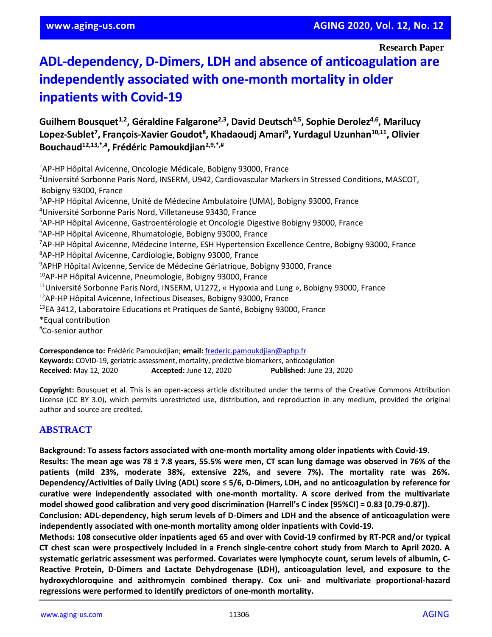**Research Paper**

# **ADL-dependency, D-Dimers, LDH and absence of anticoagulation are independently associated with one-month mortality in older inpatients with Covid-19**

**Guilhem Bousquet1,2, Géraldine Falgarone2,3, David Deutsch4,5, Sophie Derolez4,6, Marilucy Lopez-Sublet<sup>7</sup> , François-Xavier Goudot<sup>8</sup> , Khadaoudj Amari<sup>9</sup> , Yurdagul Uzunhan10,11, Olivier Bouchaud12,13,\*,# , Frédéric Pamoukdjian2,9,\*,#**

<sup>1</sup>AP-HP Hôpital Avicenne, Oncologie Médicale, Bobigny 93000, France <sup>2</sup>Université Sorbonne Paris Nord, INSERM, U942, Cardiovascular Markers in Stressed Conditions, MASCOT, Bobigny 93000, France <sup>3</sup>AP-HP Hôpital Avicenne, Unité de Médecine Ambulatoire (UMA), Bobigny 93000, France <sup>4</sup>Université Sorbonne Paris Nord, Villetaneuse 93430, France <sup>5</sup>AP-HP Hôpital Avicenne, Gastroentérologie et Oncologie Digestive Bobigny 93000, France <sup>6</sup>AP-HP Hôpital Avicenne, Rhumatologie, Bobigny 93000, France <sup>7</sup>AP-HP Hôpital Avicenne, Médecine Interne, ESH Hypertension Excellence Centre, Bobigny 93000, France <sup>8</sup>AP-HP Hôpital Avicenne, Cardiologie, Bobigny 93000, France <sup>9</sup>APHP Hôpital Avicenne, Service de Médecine Gériatrique, Bobigny 93000, France <sup>10</sup>AP-HP Hôpital Avicenne, Pneumologie, Bobigny 93000, France <sup>11</sup>Université Sorbonne Paris Nord, INSERM, U1272, « Hypoxia and Lung », Bobigny 93000, France <sup>12</sup>AP-HP Hôpital Avicenne, Infectious Diseases, Bobigny 93000, France <sup>13</sup>EA 3412, Laboratoire Educations et Pratiques de Santé, Bobigny 93000, France \*Equal contribution #Co-senior author

**Correspondence to:** Frédéric Pamoukdjian; **email:** [frederic.pamoukdjian@aphp.fr](mailto:frederic.pamoukdjian@aphp.fr) **Keywords:** COVID-19, geriatric assessment, mortality, predictive biomarkers, anticoagulation **Received:** May 12, 2020 **Accepted:** June 12, 2020 **Published:** June 23, 2020

**Copyright:** Bousquet et al. This is an open-access article distributed under the terms of the Creative Commons Attribution License (CC BY 3.0), which permits unrestricted use, distribution, and reproduction in any medium, provided the original author and source are credited.

# **ABSTRACT**

**Background: To assess factors associated with one-month mortality among older inpatients with Covid-19.** Results: The mean age was 78 ± 7.8 years, 55.5% were men, CT scan lung damage was observed in 76% of the **patients (mild 23%, moderate 38%, extensive 22%, and severe 7%). The mortality rate was 26%. Dependency/Activities of Daily Living (ADL) score ≤ 5/6, D-Dimers, LDH, and no anticoagulation by reference for curative were independently associated with one-month mortality. A score derived from the multivariate model showed good calibration and very good discrimination (Harrell's C index [95%CI] = 0.83 [0.79-0.87]).**

**Conclusion: ADL-dependency, high serum levels of D-Dimers and LDH and the absence of anticoagulation were independently associated with one-month mortality among older inpatients with Covid-19.**

**Methods: 108 consecutive older inpatients aged 65 and over with Covid-19 confirmed by RT-PCR and/or typical** CT chest scan were prospectively included in a French single-centre cohort study from March to April 2020. A **systematic geriatric assessment was performed. Covariates were lymphocyte count, serum levels of albumin, C-Reactive Protein, D-Dimers and Lactate Dehydrogenase (LDH), anticoagulation level, and exposure to the hydroxychloroquine and azithromycin combined therapy. Cox uni- and multivariate proportional-hazard regressions were performed to identify predictors of one-month mortality.**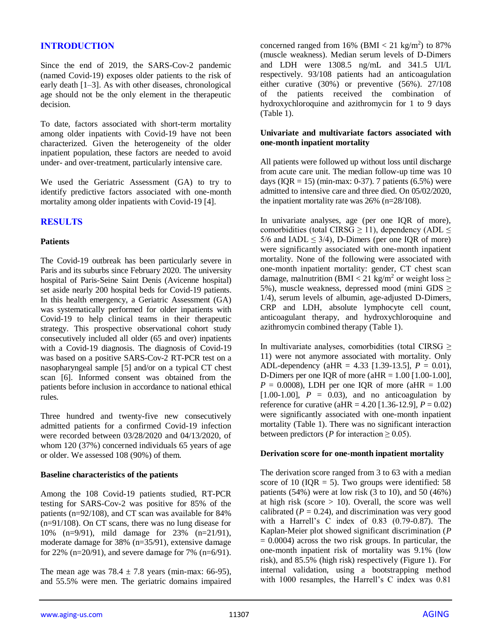## **INTRODUCTION**

Since the end of 2019, the SARS-Cov-2 pandemic (named Covid-19) exposes older patients to the risk of early death [1–3]. As with other diseases, chronological age should not be the only element in the therapeutic decision.

To date, factors associated with short-term mortality among older inpatients with Covid-19 have not been characterized. Given the heterogeneity of the older inpatient population, these factors are needed to avoid under- and over-treatment, particularly intensive care.

We used the Geriatric Assessment (GA) to try to identify predictive factors associated with one-month mortality among older inpatients with Covid-19 [4].

## **RESULTS**

#### **Patients**

The Covid-19 outbreak has been particularly severe in Paris and its suburbs since February 2020. The university hospital of Paris-Seine Saint Denis (Avicenne hospital) set aside nearly 200 hospital beds for Covid-19 patients. In this health emergency, a Geriatric Assessment (GA) was systematically performed for older inpatients with Covid-19 to help clinical teams in their therapeutic strategy. This prospective observational cohort study consecutively included all older (65 and over) inpatients with a Covid-19 diagnosis. The diagnosis of Covid-19 was based on a positive SARS-Cov-2 RT-PCR test on a nasopharyngeal sample [5] and/or on a typical CT chest scan [6]. Informed consent was obtained from the patients before inclusion in accordance to national ethical rules.

Three hundred and twenty-five new consecutively admitted patients for a confirmed Covid-19 infection were recorded between 03/28/2020 and 04/13/2020, of whom 120 (37%) concerned individuals 65 years of age or older. We assessed 108 (90%) of them.

#### **Baseline characteristics of the patients**

Among the 108 Covid-19 patients studied, RT-PCR testing for SARS-Cov-2 was positive for 85% of the patients (n=92/108), and CT scan was available for 84% (n=91/108). On CT scans, there was no lung disease for 10% (n=9/91), mild damage for 23% (n=21/91), moderate damage for 38% (n=35/91), extensive damage for 22% (n=20/91), and severe damage for 7% (n=6/91).

The mean age was  $78.4 \pm 7.8$  years (min-max: 66-95), and 55.5% were men. The geriatric domains impaired

concerned ranged from  $16\%$  (BMI <  $21 \text{ kg/m}^2$ ) to 87% (muscle weakness). Median serum levels of D-Dimers and LDH were 1308.5 ng/mL and 341.5 UI/L respectively. 93/108 patients had an anticoagulation either curative (30%) or preventive (56%). 27/108 of the patients received the combination of hydroxychloroquine and azithromycin for 1 to 9 days (Table 1).

#### **Univariate and multivariate factors associated with one-month inpatient mortality**

All patients were followed up without loss until discharge from acute care unit. The median follow-up time was 10 days (IQR = 15) (min-max: 0-37). 7 patients (6.5%) were admitted to intensive care and three died. On 05/02/2020, the inpatient mortality rate was 26% (n=28/108).

In univariate analyses, age (per one IQR of more), comorbidities (total CIRSG  $\geq$  11), dependency (ADL  $\leq$ 5/6 and IADL  $\leq$  3/4), D-Dimers (per one IQR of more) were significantly associated with one-month inpatient mortality. None of the following were associated with one-month inpatient mortality: gender, CT chest scan damage, malnutrition (BMI < 21 kg/m<sup>2</sup> or weight loss  $\geq$ 5%), muscle weakness, depressed mood (mini GDS ≥ 1/4), serum levels of albumin, age-adjusted D-Dimers, CRP and LDH, absolute lymphocyte cell count, anticoagulant therapy, and hydroxychloroquine and azithromycin combined therapy (Table 1).

In multivariate analyses, comorbidities (total CIRSG  $\geq$ 11) were not anymore associated with mortality. Only ADL-dependency (aHR = 4.33 [1.39-13.5], *P* = 0.01), D-Dimers per one IQR of more  $(aHR = 1.00$  [1.00-1.00],  $P = 0.0008$ ), LDH per one IQR of more (aHR = 1.00  $[1.00-1.00]$ ,  $P = 0.03$ , and no anticoagulation by reference for curative (aHR =  $4.20$  [1.36-12.9],  $P = 0.02$ ) were significantly associated with one-month inpatient mortality (Table 1). There was no significant interaction between predictors (*P* for interaction  $\geq$  0.05).

#### **Derivation score for one-month inpatient mortality**

The derivation score ranged from 3 to 63 with a median score of 10 (IQR = 5). Two groups were identified:  $58$ patients  $(54\%)$  were at low risk  $(3 \text{ to } 10)$ , and  $50 \ (46\%)$ at high risk (score  $> 10$ ). Overall, the score was well calibrated  $(P = 0.24)$ , and discrimination was very good with a Harrell's C index of 0.83 (0.79-0.87). The Kaplan-Meier plot showed significant discrimination (*P*  $= 0.0004$ ) across the two risk groups. In particular, the one-month inpatient risk of mortality was 9.1% (low risk), and 85.5% (high risk) respectively (Figure 1). For internal validation, using a bootstrapping method with 1000 resamples, the Harrell's C index was 0.81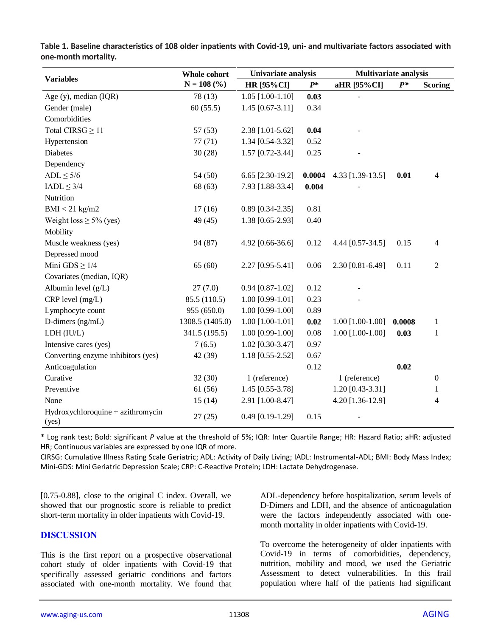|                                            | Whole cohort<br>$N = 108$ (%) | Univariate analysis |        | <b>Multivariate analysis</b> |        |                  |
|--------------------------------------------|-------------------------------|---------------------|--------|------------------------------|--------|------------------|
| <b>Variables</b>                           |                               | <b>HR</b> [95% CI]  | $P^*$  | aHR [95%CI]                  | $P^*$  | <b>Scoring</b>   |
| Age (y), median (IQR)                      | 78 (13)                       | $1.05$ [1.00-1.10]  | 0.03   |                              |        |                  |
| Gender (male)                              | 60(55.5)                      | $1.45$ [0.67-3.11]  | 0.34   |                              |        |                  |
| Comorbidities                              |                               |                     |        |                              |        |                  |
| Total CIRSG $\geq$ 11                      | 57(53)                        | 2.38 [1.01-5.62]    | 0.04   |                              |        |                  |
| Hypertension                               | 77(71)                        | 1.34 [0.54-3.32]    | 0.52   |                              |        |                  |
| Diabetes                                   | 30(28)                        | 1.57 [0.72-3.44]    | 0.25   |                              |        |                  |
| Dependency                                 |                               |                     |        |                              |        |                  |
| $ADL \leq 5/6$                             | 54 (50)                       | 6.65 [2.30-19.2]    | 0.0004 | 4.33 [1.39-13.5]             | 0.01   | 4                |
| $IADL \leq 3/4$                            | 68 (63)                       | 7.93 [1.88-33.4]    | 0.004  |                              |        |                  |
| Nutrition                                  |                               |                     |        |                              |        |                  |
| $BMI < 21$ kg/m2                           | 17(16)                        | $0.89$ [0.34-2.35]  | 0.81   |                              |        |                  |
| Weight loss $\geq$ 5% (yes)                | 49 (45)                       | 1.38 [0.65-2.93]    | 0.40   |                              |        |                  |
| Mobility                                   |                               |                     |        |                              |        |                  |
| Muscle weakness (yes)                      | 94 (87)                       | 4.92 [0.66-36.6]    | 0.12   | 4.44 [0.57-34.5]             | 0.15   | 4                |
| Depressed mood                             |                               |                     |        |                              |        |                  |
| Mini GDS $\geq$ 1/4                        | 65(60)                        | 2.27 [0.95-5.41]    | 0.06   | 2.30 [0.81-6.49]             | 0.11   | $\overline{c}$   |
| Covariates (median, IQR)                   |                               |                     |        |                              |        |                  |
| Albumin level (g/L)                        | 27(7.0)                       | $0.94$ [0.87-1.02]  | 0.12   |                              |        |                  |
| CRP level (mg/L)                           | 85.5 (110.5)                  | $1.00$ [0.99-1.01]  | 0.23   |                              |        |                  |
| Lymphocyte count                           | 955 (650.0)                   | $1.00$ [0.99-1.00]  | 0.89   |                              |        |                  |
| D-dimers (ng/mL)                           | 1308.5 (1405.0)               | $1.00$ [1.00-1.01]  | 0.02   | $1.00$ [1.00-1.00]           | 0.0008 | 1                |
| LDH (IU/L)                                 | 341.5 (195.5)                 | $1.00$ [0.99-1.00]  | 0.08   | $1.00$ [1.00-1.00]           | 0.03   | 1                |
| Intensive cares (yes)                      | 7(6.5)                        | 1.02 [0.30-3.47]    | 0.97   |                              |        |                  |
| Converting enzyme inhibitors (yes)         | 42 (39)                       | 1.18 [0.55-2.52]    | 0.67   |                              |        |                  |
| Anticoagulation                            |                               |                     | 0.12   |                              | 0.02   |                  |
| Curative                                   | 32(30)                        | 1 (reference)       |        | 1 (reference)                |        | $\boldsymbol{0}$ |
| Preventive                                 | 61 (56)                       | 1.45 [0.55-3.78]    |        | 1.20 [0.43-3.31]             |        | 1                |
| None                                       | 15(14)                        | 2.91 [1.00-8.47]    |        | 4.20 [1.36-12.9]             |        | 4                |
| Hydroxychloroquine + azithromycin<br>(yes) | 27(25)                        | $0.49$ [0.19-1.29]  | 0.15   |                              |        |                  |

**Table 1. Baseline characteristics of 108 older inpatients with Covid-19, uni- and multivariate factors associated with one-month mortality.**

\* Log rank test; Bold: significant *P* value at the threshold of 5%; IQR: Inter Quartile Range; HR: Hazard Ratio; aHR: adjusted HR; Continuous variables are expressed by one IQR of more.

CIRSG: Cumulative Illness Rating Scale Geriatric; ADL: Activity of Daily Living; IADL: Instrumental-ADL; BMI: Body Mass Index; Mini-GDS: Mini Geriatric Depression Scale; CRP: C-Reactive Protein; LDH: Lactate Dehydrogenase.

[0.75-0.88], close to the original C index. Overall, we showed that our prognostic score is reliable to predict short-term mortality in older inpatients with Covid-19.

## **DISCUSSION**

This is the first report on a prospective observational cohort study of older inpatients with Covid-19 that specifically assessed geriatric conditions and factors associated with one-month mortality. We found that

ADL-dependency before hospitalization, serum levels of D-Dimers and LDH, and the absence of anticoagulation were the factors independently associated with onemonth mortality in older inpatients with Covid-19.

To overcome the heterogeneity of older inpatients with Covid-19 in terms of comorbidities, dependency, nutrition, mobility and mood, we used the Geriatric Assessment to detect vulnerabilities. In this frail population where half of the patients had significant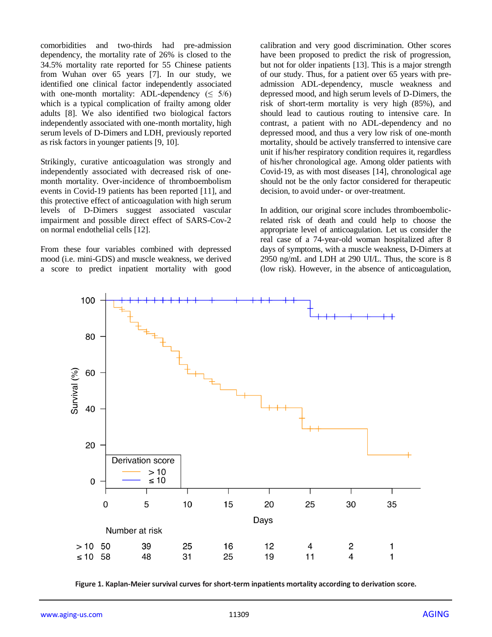comorbidities and two-thirds had pre-admission dependency, the mortality rate of 26% is closed to the 34.5% mortality rate reported for 55 Chinese patients from Wuhan over 65 years [7]. In our study, we identified one clinical factor independently associated with one-month mortality: ADL-dependency  $(5/6)$ which is a typical complication of frailty among older adults [8]. We also identified two biological factors independently associated with one-month mortality, high serum levels of D-Dimers and LDH, previously reported as risk factors in younger patients [9, 10].

Strikingly, curative anticoagulation was strongly and independently associated with decreased risk of onemonth mortality. Over-incidence of thromboembolism events in Covid-19 patients has been reported [11], and this protective effect of anticoagulation with high serum levels of D-Dimers suggest associated vascular impairment and possible direct effect of SARS-Cov-2 on normal endothelial cells [12].

From these four variables combined with depressed mood (i.e. mini-GDS) and muscle weakness, we derived a score to predict inpatient mortality with good calibration and very good discrimination. Other scores have been proposed to predict the risk of progression, but not for older inpatients [13]. This is a major strength of our study. Thus, for a patient over 65 years with preadmission ADL-dependency, muscle weakness and depressed mood, and high serum levels of D-Dimers, the risk of short-term mortality is very high (85%), and should lead to cautious routing to intensive care. In contrast, a patient with no ADL-dependency and no depressed mood, and thus a very low risk of one-month mortality, should be actively transferred to intensive care unit if his/her respiratory condition requires it, regardless of his/her chronological age. Among older patients with Covid-19, as with most diseases [14], chronological age should not be the only factor considered for therapeutic decision, to avoid under- or over-treatment.

In addition, our original score includes thromboembolicrelated risk of death and could help to choose the appropriate level of anticoagulation. Let us consider the real case of a 74-year-old woman hospitalized after 8 days of symptoms, with a muscle weakness, D-Dimers at 2950 ng/mL and LDH at 290 UI/L. Thus, the score is 8 (low risk). However, in the absence of anticoagulation,



**Figure 1. Kaplan-Meier survival curves for short-term inpatients mortality according to derivation score.**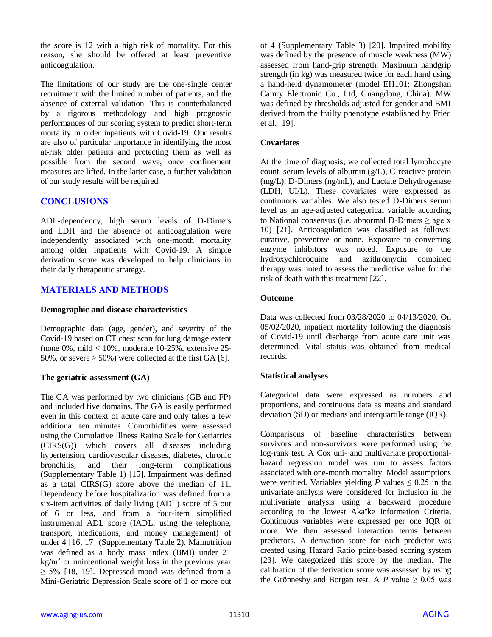the score is 12 with a high risk of mortality. For this reason, she should be offered at least preventive anticoagulation.

The limitations of our study are the one-single center recruitment with the limited number of patients, and the absence of external validation. This is counterbalanced by a rigorous methodology and high prognostic performances of our scoring system to predict short-term mortality in older inpatients with Covid-19. Our results are also of particular importance in identifying the most at-risk older patients and protecting them as well as possible from the second wave, once confinement measures are lifted. In the latter case, a further validation of our study results will be required.

# **CONCLUSIONS**

ADL-dependency, high serum levels of D-Dimers and LDH and the absence of anticoagulation were independently associated with one-month mortality among older inpatients with Covid-19. A simple derivation score was developed to help clinicians in their daily therapeutic strategy.

# **MATERIALS AND METHODS**

## **Demographic and disease characteristics**

Demographic data (age, gender), and severity of the Covid-19 based on CT chest scan for lung damage extent (none  $0\%$ , mild  $< 10\%$ , moderate 10-25%, extensive 25-50%, or severe  $> 50\%$ ) were collected at the first GA [6].

## **The geriatric assessment (GA)**

The GA was performed by two clinicians (GB and FP) and included five domains. The GA is easily performed even in this context of acute care and only takes a few additional ten minutes. Comorbidities were assessed using the Cumulative Illness Rating Scale for Geriatrics (CIRS(G)) which covers all diseases including hypertension, cardiovascular diseases, diabetes, chronic bronchitis, and their long-term complications (Supplementary Table 1) [15]. Impairment was defined as a total CIRS(G) score above the median of 11. Dependency before hospitalization was defined from a six-item activities of daily living (ADL) score of 5 out of 6 or less, and from a four-item simplified instrumental ADL score (IADL, using the telephone, transport, medications, and money management) of under 4 [16, 17] (Supplementary Table 2). Malnutrition was defined as a body mass index (BMI) under 21  $\text{kg/m}^2$  or unintentional weight loss in the previous year  $\geq$  5% [18, 19]. Depressed mood was defined from a Mini-Geriatric Depression Scale score of 1 or more out

of 4 (Supplementary Table 3) [20]. Impaired mobility was defined by the presence of muscle weakness (MW) assessed from hand-grip strength. Maximum handgrip strength (in kg) was measured twice for each hand using a hand-held dynamometer (model EH101; Zhongshan Camry Electronic Co., Ltd, Guangdong, China). MW was defined by thresholds adjusted for gender and BMI derived from the frailty phenotype established by Fried et al. [19].

## **Covariates**

At the time of diagnosis, we collected total lymphocyte count, serum levels of albumin (g/L), C-reactive protein (mg/L), D-Dimers (ng/mL), and Lactate Dehydrogenase (LDH, UI/L). These covariates were expressed as continuous variables. We also tested D-Dimers serum level as an age-adjusted categorical variable according to National consensus (i.e. abnormal D-Dimers  $\geq$  age x 10) [21]. Anticoagulation was classified as follows: curative, preventive or none. Exposure to converting enzyme inhibitors was noted. Exposure to the hydroxychloroquine and azithromycin combined therapy was noted to assess the predictive value for the risk of death with this treatment [22].

## **Outcome**

Data was collected from 03/28/2020 to 04/13/2020. On 05/02/2020, inpatient mortality following the diagnosis of Covid-19 until discharge from acute care unit was determined. Vital status was obtained from medical records.

# **Statistical analyses**

Categorical data were expressed as numbers and proportions, and continuous data as means and standard deviation (SD) or medians and interquartile range (IQR).

Comparisons of baseline characteristics between survivors and non-survivors were performed using the log-rank test. A Cox uni- and multivariate proportionalhazard regression model was run to assess factors associated with one-month mortality. Model assumptions were verified. Variables yielding *P* values  $\leq 0.25$  in the univariate analysis were considered for inclusion in the multivariate analysis using a backward procedure according to the lowest Akaïke Information Criteria. Continuous variables were expressed per one IQR of more. We then assessed interaction terms between predictors. A derivation score for each predictor was created using Hazard Ratio point-based scoring system [23]. We categorized this score by the median. The calibration of the derivation score was assessed by using the Grönnesby and Borgan test. A *P* value  $\geq 0.05$  was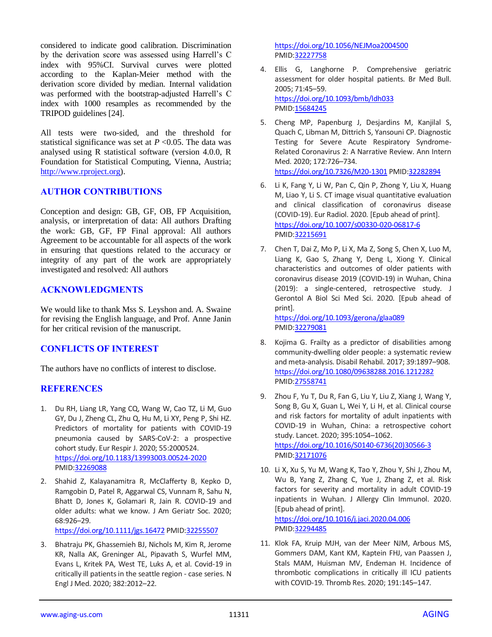considered to indicate good calibration. Discrimination by the derivation score was assessed using Harrell's C index with 95%CI. Survival curves were plotted according to the Kaplan-Meier method with the derivation score divided by median. Internal validation was performed with the bootstrap-adjusted Harrell's C index with 1000 resamples as recommended by the TRIPOD guidelines [24].

All tests were two-sided, and the threshold for statistical significance was set at  $P \le 0.05$ . The data was analysed using R statistical software (version 4.0.0, R Foundation for Statistical Computing, Vienna, Austria; [http://www.rproject.org\)](http://www.rproject.org/).

## **AUTHOR CONTRIBUTIONS**

Conception and design: GB, GF, OB, FP Acquisition, analysis, or interpretation of data: All authors Drafting the work: GB, GF, FP Final approval: All authors Agreement to be accountable for all aspects of the work in ensuring that questions related to the accuracy or integrity of any part of the work are appropriately investigated and resolved: All authors

## **ACKNOWLEDGMENTS**

We would like to thank Mss S. Leyshon and. A. Swaine for revising the English language, and Prof. Anne Janin for her critical revision of the manuscript.

# **CONFLICTS OF INTEREST**

The authors have no conflicts of interest to disclose.

## **REFERENCES**

- 1. Du RH, Liang LR, Yang CQ, Wang W, Cao TZ, Li M, Guo GY, Du J, Zheng CL, Zhu Q, Hu M, Li XY, Peng P, Shi HZ. Predictors of mortality for patients with COVID-19 pneumonia caused by SARS-CoV-2: a prospective cohort study. Eur Respir J. 2020; 55:2000524. <https://doi.org/10.1183/13993003.00524-2020> PMID[:32269088](https://pubmed.ncbi.nlm.nih.gov/32269088)
- 2. Shahid Z, Kalayanamitra R, McClafferty B, Kepko D, Ramgobin D, Patel R, Aggarwal CS, Vunnam R, Sahu N, Bhatt D, Jones K, Golamari R, Jain R. COVID-19 and older adults: what we know. J Am Geriatr Soc. 2020; 68:926–29.

<https://doi.org/10.1111/jgs.16472> PMI[D:32255507](https://pubmed.ncbi.nlm.nih.gov/32255507)

3. Bhatraju PK, Ghassemieh BJ, Nichols M, Kim R, Jerome KR, Nalla AK, Greninger AL, Pipavath S, Wurfel MM, Evans L, Kritek PA, West TE, Luks A, et al. Covid-19 in critically ill patients in the seattle region - case series. N Engl J Med. 2020; 382:2012–22.

<https://doi.org/10.1056/NEJMoa2004500> PMI[D:32227758](https://pubmed.ncbi.nlm.nih.gov/32227758)

- 4. Ellis G, Langhorne P. Comprehensive geriatric assessment for older hospital patients. Br Med Bull. 2005; 71:45–59. <https://doi.org/10.1093/bmb/ldh033> PMI[D:15684245](https://pubmed.ncbi.nlm.nih.gov/15684245)
- 5. Cheng MP, Papenburg J, Desjardins M, Kanjilal S, Quach C, Libman M, Dittrich S, Yansouni CP. Diagnostic Testing for Severe Acute Respiratory Syndrome-Related Coronavirus 2: A Narrative Review. Ann Intern Med. 2020; 172:726–734. <https://doi.org/10.7326/M20-1301> PMI[D:32282894](https://pubmed.ncbi.nlm.nih.gov/32282894)
- 6. Li K, Fang Y, Li W, Pan C, Qin P, Zhong Y, Liu X, Huang M, Liao Y, Li S. CT image visual quantitative evaluation and clinical classification of coronavirus disease (COVID-19). Eur Radiol. 2020. [Epub ahead of print]. <https://doi.org/10.1007/s00330-020-06817-6> PMI[D:32215691](https://pubmed.ncbi.nlm.nih.gov/32215691)
- 7. Chen T, Dai Z, Mo P, Li X, Ma Z, Song S, Chen X, Luo M, Liang K, Gao S, Zhang Y, Deng L, Xiong Y. Clinical characteristics and outcomes of older patients with coronavirus disease 2019 (COVID-19) in Wuhan, China (2019): a single-centered, retrospective study. J Gerontol A Biol Sci Med Sci. 2020. [Epub ahead of print].

<https://doi.org/10.1093/gerona/glaa089> PMI[D:32279081](https://pubmed.ncbi.nlm.nih.gov/32279081)

- 8. Kojima G. Frailty as a predictor of disabilities among community-dwelling older people: a systematic review and meta-analysis. Disabil Rehabil. 2017; 39:1897–908. <https://doi.org/10.1080/09638288.2016.1212282> PMI[D:27558741](https://pubmed.ncbi.nlm.nih.gov/27558741)
- 9. Zhou F, Yu T, Du R, Fan G, Liu Y, Liu Z, Xiang J, Wang Y, Song B, Gu X, Guan L, Wei Y, Li H, et al. Clinical course and risk factors for mortality of adult inpatients with COVID-19 in Wuhan, China: a retrospective cohort study. Lancet. 2020; 395:1054–1062. [https://doi.org/10.1016/S0140-6736\(20\)30566-3](https://doi.org/10.1016/S0140-6736(20)30566-3) PMI[D:32171076](https://pubmed.ncbi.nlm.nih.gov/32171076)
- 10. Li X, Xu S, Yu M, Wang K, Tao Y, Zhou Y, Shi J, Zhou M, Wu B, Yang Z, Zhang C, Yue J, Zhang Z, et al. Risk factors for severity and mortality in adult COVID-19 inpatients in Wuhan. J Allergy Clin Immunol. 2020. [Epub ahead of print]. <https://doi.org/10.1016/j.jaci.2020.04.006> PMI[D:32294485](https://pubmed.ncbi.nlm.nih.gov/32294485)
- 11. Klok FA, Kruip MJH, van der Meer NJM, Arbous MS, Gommers DAM, Kant KM, Kaptein FHJ, van Paassen J, Stals MAM, Huisman MV, Endeman H. Incidence of thrombotic complications in critically ill ICU patients with COVID-19. Thromb Res. 2020; 191:145–147.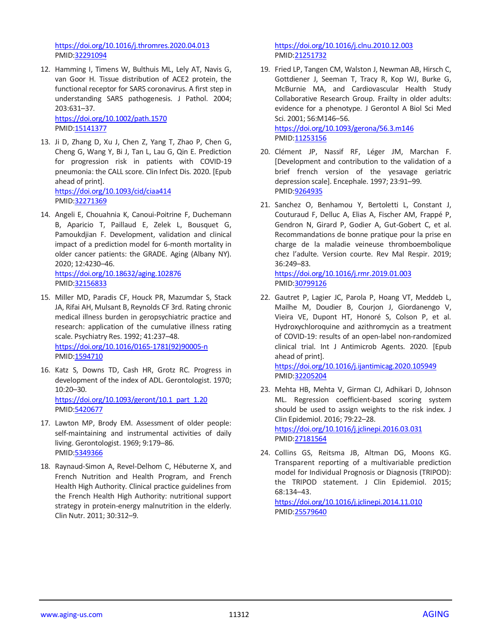<https://doi.org/10.1016/j.thromres.2020.04.013> PMID[:32291094](https://pubmed.ncbi.nlm.nih.gov/32291094)

12. Hamming I, Timens W, Bulthuis ML, Lely AT, Navis G, van Goor H. Tissue distribution of ACE2 protein, the functional receptor for SARS coronavirus. A first step in understanding SARS pathogenesis. J Pathol. 2004; 203:631–37.

<https://doi.org/10.1002/path.1570> PMID[:15141377](https://pubmed.ncbi.nlm.nih.gov/15141377)

- 13. Ji D, Zhang D, Xu J, Chen Z, Yang T, Zhao P, Chen G, Cheng G, Wang Y, Bi J, Tan L, Lau G, Qin E. Prediction for progression risk in patients with COVID-19 pneumonia: the CALL score. Clin Infect Dis. 2020. [Epub ahead of print]. <https://doi.org/10.1093/cid/ciaa414> PMID[:32271369](https://pubmed.ncbi.nlm.nih.gov/32271369)
- 14. Angeli E, Chouahnia K, Canoui-Poitrine F, Duchemann B, Aparicio T, Paillaud E, Zelek L, Bousquet G, Pamoukdjian F. Development, validation and clinical impact of a prediction model for 6-month mortality in older cancer patients: the GRADE. Aging (Albany NY). 2020; 12:4230–46. <https://doi.org/10.18632/aging.102876> PMID[:32156833](https://pubmed.ncbi.nlm.nih.gov/32156833)
- 15. Miller MD, Paradis CF, Houck PR, Mazumdar S, Stack JA, Rifai AH, Mulsant B, Reynolds CF 3rd. Rating chronic medical illness burden in geropsychiatric practice and research: application of the cumulative illness rating scale. Psychiatry Res. 1992; 41:237–48. [https://doi.org/10.1016/0165-1781\(92\)90005-n](https://doi.org/10.1016/0165-1781(92)90005-n) PMID[:1594710](https://pubmed.ncbi.nlm.nih.gov/1594710)
- 16. Katz S, Downs TD, Cash HR, Grotz RC. Progress in development of the index of ADL. Gerontologist. 1970; 10:20–30. [https://doi.org/10.1093/geront/10.1\\_part\\_1.20](https://doi.org/10.1093/geront/10.1_part_1.20) PMID[:5420677](https://pubmed.ncbi.nlm.nih.gov/5420677)
- 17. Lawton MP, Brody EM. Assessment of older people: self-maintaining and instrumental activities of daily living. Gerontologist. 1969; 9:179–86. PMID[:5349366](https://pubmed.ncbi.nlm.nih.gov/5349366)
- 18. Raynaud-Simon A, Revel-Delhom C, Hébuterne X, and French Nutrition and Health Program, and French Health High Authority. Clinical practice guidelines from the French Health High Authority: nutritional support strategy in protein-energy malnutrition in the elderly. Clin Nutr. 2011; 30:312–9.

<https://doi.org/10.1016/j.clnu.2010.12.003> PMI[D:21251732](https://pubmed.ncbi.nlm.nih.gov/21251732)

- 19. Fried LP, Tangen CM, Walston J, Newman AB, Hirsch C, Gottdiener J, Seeman T, Tracy R, Kop WJ, Burke G, McBurnie MA, and Cardiovascular Health Study Collaborative Research Group. Frailty in older adults: evidence for a phenotype. J Gerontol A Biol Sci Med Sci. 2001; 56:M146–56. <https://doi.org/10.1093/gerona/56.3.m146>
	- PMI[D:11253156](https://pubmed.ncbi.nlm.nih.gov/11253156)
- 20. Clément JP, Nassif RF, Léger JM, Marchan F. [Development and contribution to the validation of a brief french version of the yesavage geriatric depression scale]. Encephale. 1997; 23:91–99. PMI[D:9264935](https://pubmed.ncbi.nlm.nih.gov/9264935)
- 21. Sanchez O, Benhamou Y, Bertoletti L, Constant J, Couturaud F, Delluc A, Elias A, Fischer AM, Frappé P, Gendron N, Girard P, Godier A, Gut-Gobert C, et al. Recommandations de bonne pratique pour la prise en charge de la maladie veineuse thromboembolique chez l'adulte. Version courte. Rev Mal Respir. 2019; 36:249–83.

<https://doi.org/10.1016/j.rmr.2019.01.003> PMI[D:30799126](https://pubmed.ncbi.nlm.nih.gov/30799126)

22. Gautret P, Lagier JC, Parola P, Hoang VT, Meddeb L, Mailhe M, Doudier B, Courjon J, Giordanengo V, Vieira VE, Dupont HT, Honoré S, Colson P, et al. Hydroxychloroquine and azithromycin as a treatment of COVID-19: results of an open-label non-randomized clinical trial. Int J Antimicrob Agents. 2020. [Epub ahead of print].

<https://doi.org/10.1016/j.ijantimicag.2020.105949> PMI[D:32205204](https://pubmed.ncbi.nlm.nih.gov/32205204)

23. Mehta HB, Mehta V, Girman CJ, Adhikari D, Johnson ML. Regression coefficient-based scoring system should be used to assign weights to the risk index. J Clin Epidemiol. 2016; 79:22–28. <https://doi.org/10.1016/j.jclinepi.2016.03.031>

PMI[D:27181564](https://pubmed.ncbi.nlm.nih.gov/27181564)

24. Collins GS, Reitsma JB, Altman DG, Moons KG. Transparent reporting of a multivariable prediction model for Individual Prognosis or Diagnosis (TRIPOD): the TRIPOD statement. J Clin Epidemiol. 2015; 68:134–43.

<https://doi.org/10.1016/j.jclinepi.2014.11.010> PMI[D:25579640](https://pubmed.ncbi.nlm.nih.gov/25579640)